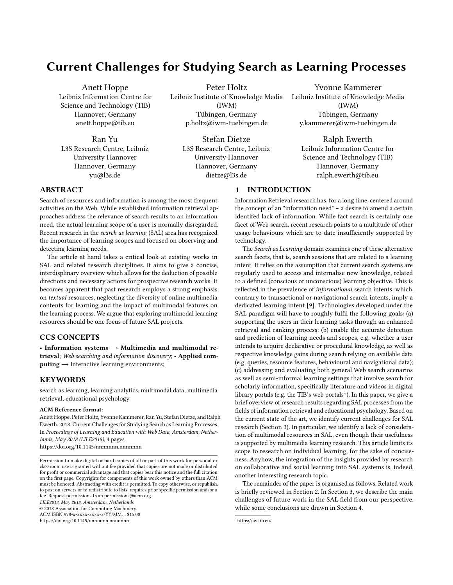# Current Challenges for Studying Search as Learning Processes

Anett Hoppe Leibniz Information Centre for Science and Technology (TIB) Hannover, Germany anett.hoppe@tib.eu

Ran Yu L3S Research Centre, Leibniz University Hannover Hannover, Germany yu@l3s.de

Peter Holtz Leibniz Institute of Knowledge Media (IWM) Tübingen, Germany p.holtz@iwm-tuebingen.de

> Stefan Dietze L3S Research Centre, Leibniz University Hannover Hannover, Germany dietze@l3s.de

> > 1 INTRODUCTION

Yvonne Kammerer Leibniz Institute of Knowledge Media (IWM) Tübingen, Germany y.kammerer@iwm-tuebingen.de

Ralph Ewerth Leibniz Information Centre for Science and Technology (TIB) Hannover, Germany ralph.ewerth@tib.eu

# ABSTRACT

Search of resources and information is among the most frequent activities on the Web. While established information retrieval approaches address the relevance of search results to an information need, the actual learning scope of a user is normally disregarded. Recent research in the search as learning (SAL) area has recognized the importance of learning scopes and focused on observing and detecting learning needs.

The article at hand takes a critical look at existing works in SAL and related research disciplines. It aims to give a concise, interdisplinary overview which allows for the deduction of possible directions and necessary actions for prospective research works. It becomes apparent that past research employs a strong emphasis on textual resources, neglecting the diversity of online multimedia contents for learning and the impact of multimodal features on the learning process. We argue that exploring multimodal learning resources should be one focus of future SAL projects.

## CCS CONCEPTS

• Information systems  $\rightarrow$  Multimedia and multimodal retrieval; Web searching and information discovery; • Applied com $puting \rightarrow$  Interactive learning environments;

## **KEYWORDS**

search as learning, learning analytics, multimodal data, multimedia retrieval, educational psychology

#### ACM Reference format:

Anett Hoppe, Peter Holtz, Yvonne Kammerer, Ran Yu, Stefan Dietze, and Ralph Ewerth. 2018. Current Challenges for Studying Search as Learning Processes. In Proceedings of Learning and Education with Web Data, Amsterdam, Netherlands, May 2018 (LILE2018), [4](#page-3-0) pages. <https://doi.org/10.1145/nnnnnnn.nnnnnnn>

LILE2018, May 2018, Amsterdam, Netherlands

© 2018 Association for Computing Machinery.

ACM ISBN 978-x-xxxx-xxxx-x/YY/MM. . . \$15.00

<https://doi.org/10.1145/nnnnnnn.nnnnnnn>

## the concept of an "information need" – a desire to amend a certain identifed lack of information. While fact search is certainly one facet of Web search, recent research points to a multitude of other usage behaviours which are to-date insufficiently supported by technology.

Information Retrieval research has, for a long time, centered around

The Search as Learning domain examines one of these alternative search facets, that is, search sessions that are related to a learning intent. It relies on the assumption that current search systems are regularly used to access and internalise new knowledge, related to a defined (conscious or unconscious) learning objective. This is reflected in the prevalence of informational search intents, which, contrary to transactional or navigational search intents, imply a dedicated learning intent [\[9\]](#page-3-1). Technologies developed under the SAL paradigm will have to roughly fulfil the following goals: (a) supporting the users in their learning tasks through an enhanced retrieval and ranking process; (b) enable the accurate detection and prediction of learning needs and scopes, e.g. whether a user intends to acquire declarative or procedural knowledge, as well as respective knowledge gains during search relying on available data (e.g. queries, resource features, behavioural and navigational data); (c) addressing and evaluating both general Web search scenarios as well as semi-informal learning settings that involve search for scholarly information, specifically literature and videos in digital library portals (e.g. the TIB's web portals<sup>[1](#page-0-0)</sup>). In this paper, we give a brief overview of research results regarding SAL processes from the fields of information retrieval and educational psychology. Based on the current state of the art, we identify current challenges for SAL research (Section [3\)](#page-1-0). In particular, we identify a lack of consideration of multimodal resources in SAL, even though their usefulness is supported by multimedia learning research. This article limits its scope to research on individual learning, for the sake of conciseness. Anyhow, the integration of the insights provided by research on collaborative and social learning into SAL systems is, indeed, another interesting research topic.

The remainder of the paper is organised as follows. Related work is briefly reviewed in Section 2. In Section 3, we describe the main challenges of future work in the SAL field from our perspective, while some conclusions are drawn in Section 4.

Permission to make digital or hard copies of all or part of this work for personal or classroom use is granted without fee provided that copies are not made or distributed for profit or commercial advantage and that copies bear this notice and the full citation on the first page. Copyrights for components of this work owned by others than ACM must be honored. Abstracting with credit is permitted. To copy otherwise, or republish, to post on servers or to redistribute to lists, requires prior specific permission and/or a fee. Request permissions from permissions@acm.org.

<span id="page-0-0"></span><sup>1</sup><https://av.tib.eu/>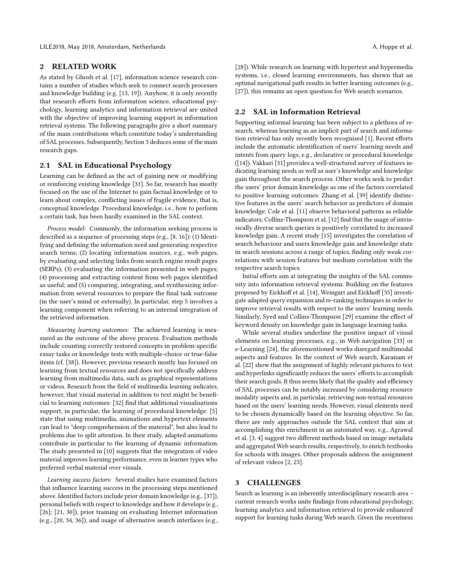## 2 RELATED WORK

As stated by Ghosh et al. [\[17\]](#page-3-2), information science research contains a number of studies which seek to connect search processes and knowledge building (e.g. [\[13,](#page-3-3) [19\]](#page-3-4)). Anyhow, it is only recently that research efforts from information science, educational psychology, learning analytics and information retrieval are united with the objective of improving learning support in information retrieval systems. The following paragraphs give a short summary of the main contributions which constitute today's understanding of SAL processes. Subsequently, Section [3](#page-1-0) deduces some of the main research gaps.

#### 2.1 SAL in Educational Psychology

Learning can be defined as the act of gaining new or modifying or reinforcing existing knowledge [\[31\]](#page-3-5). So far, research has mostly focused on the use of the Internet to gain factual knowledge or to learn about complex, conflicting issues of fragile evidence, that is, conceptual knowledge. Procedural knowledge, i.e., how to perform a certain task, has been hardly examined in the SAL context.

Process model: Commonly, the information seeking process is described as a sequence of processing steps (e.g., [\[8,](#page-3-6) [16\]](#page-3-7)): (1) Identifying and defining the information need and generating respective search terms; (2) locating information sources, e.g., web pages, by evaluating and selecting links from search engine result pages (SERPs); (3) evaluating the information presented in web pages; (4) processing and extracting content from web pages identified as useful; and (5) comparing, integrating, and synthesizing information from several resources to prepare the final task outcome (in the user's mind or externally). In particular, step 5 involves a learning component when referring to an internal integration of the retrieved information.

Measuring learning outcomes: The achieved learning is measured as the outcome of the above process. Evaluation methods include counting correctly restored concepts in problem-specific essay tasks or knowledge tests with multiple-choice or true-false items (cf. [\[38\]](#page-3-8)). However, previous research mostly has focused on learning from textual resources and does not specifically address learning from multimedia data, such as graphical representations or videos. Research from the field of multimedia learning indicates, however, that visual material in addition to text might be beneficial to learning outcomes: [\[32\]](#page-3-9) find that additional visualisations support, in particular, the learning of procedural knowledge. [\[5\]](#page-3-10) state that using multimedia, animations and hypertext elements can lead to "deep comprehension of the material", but also lead to problems due to split attention. In their study, adapted animations contribute in particular to the learning of dynamic information. The study presented in [\[10\]](#page-3-11) suggests that the integration of video material improves learning performance, even in learner types who preferred verbal material over visuals.

Learning success factors: Several studies have examined factors that influence learning success in the processing steps mentioned above. Identified factors include prior domain knowledge (e.g., [\[37\]](#page-3-12)), personal beliefs with respect to knowledge and how it develops (e.g., [\[26\]](#page-3-13); [\[21,](#page-3-14) [30\]](#page-3-15)), prior training on evaluating Internet information (e.g., [\[20,](#page-3-16) [34,](#page-3-17) [36\]](#page-3-18)), and usage of alternative search interfaces (e.g., [\[28\]](#page-3-19)). While research on learning with hypertext and hypermedia systems, i.e., closed learning environments, has shown that an optimal navigational path results in better learning outcomes (e.g., [\[27\]](#page-3-20)), this remains an open question for Web search scenarios.

#### 2.2 SAL in Information Retrieval

Supporting informal learning has been subject to a plethora of research, whereas learning as an implicit part of search and information retrieval has only recently been recognized [\[1\]](#page-2-0). Recent efforts include the automatic identification of users' learning needs and intents from query logs, e.g., declarative or procedural knowledge ([\[14\]](#page-3-21)). Vakkari [\[31\]](#page-3-5) provides a well-structured survey of features indicating learning needs as well as user's knowledge and knowledge gain throughout the search process. Other works seek to predict the users' prior domain knowledge as one of the factors correlated to positive learning outcomes: Zhang et al. [\[39\]](#page-3-22) identify distinctive features in the users' search behavior as predictors of domain knowledge; Cole et al. [\[11\]](#page-3-23) observe behavioral patterns as reliable indicators; Collins-Thompson et al. [\[12\]](#page-3-24) find that the usage of intrinsically diverse search queries is positively correlated to increased knowledge gain. A recent study [\[15\]](#page-3-25) investigates the correlation of search behaviour and users knowledge gain and knowledge state in search sessions across a range of topics, finding only weak correlations with session features but medium correlation with the respective search topics.

Initial efforts aim at integrating the insights of the SAL community into information retrieval systems. Building on the features proposed by Eickhoff et al. [\[14\]](#page-3-21), Weingart and Eickhoff [\[35\]](#page-3-26) investigate adapted query expansion and re-ranking techniques in order to improve retrieval results with respect to the users' learning needs. Similarly, Syed and Collins-Thompson [\[29\]](#page-3-27) examine the effect of keyword density on knowledge gain in language learning tasks.

While several studies underline the positive impact of visual elements on learning processes, e.g., in Web navigation [\[33\]](#page-3-28) or e-Learning [\[24\]](#page-3-29), the aforementioned works disregard multimodal aspects and features. In the context of Web search, Karanam et al. [\[22\]](#page-3-30) show that the assignment of highly relevant pictures to text and hyperlinks significantly reduces the users' efforts to accomplish their search goals. It thus seems likely that the quality and efficiency of SAL processes can be notably increased by considering resource modality aspects and, in particular, retrieving non-textual resources based on the users' learning needs. However, visual elements need to be chosen dynamically based on the learning objective. So far, there are only approaches outside the SAL context that aim at accomplishing this enrichment in an automated way, e.g., Agrawal et al. [\[3,](#page-2-1) [4\]](#page-2-2) suggest two different methods based on image metadata and aggregated Web search results, respectively, to enrich textbooks for schools with images. Other proposals address the assignment of relevant videos [\[2,](#page-2-3) [23\]](#page-3-31).

## <span id="page-1-0"></span>3 CHALLENGES

Search as learning is an inherently interdisciplinary research area – current research works unite findings from educational psychology, learning analytics and information retrieval to provide enhanced support for learning tasks during Web search. Given the recentness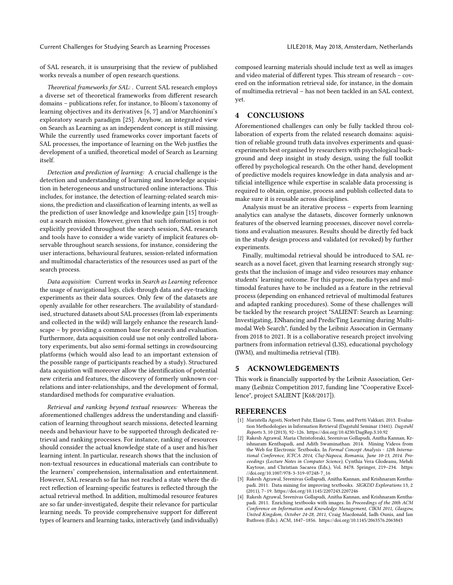Current Challenges for Studying Search as Learning Processes LILE2018, May 2018, Amsterdam, Netherlands

of SAL research, it is unsurprising that the review of published works reveals a number of open research questions.

Theoretical frameworks for SAL: . Current SAL research employs a diverse set of theoretical frameworks from different research domains – publications refer, for instance, to Bloom's taxonomy of learning objectives and its derivatives [\[6,](#page-3-32) [7\]](#page-3-33) and/or Marchionini's exploratory search paradigm [\[25\]](#page-3-34). Anyhow, an integrated view on Search as Learning as an independent concept is still missing. While the currently used frameworks cover important facets of SAL processes, the importance of learning on the Web justfies the development of a unified, theoretical model of Search as Learning itself.

Detection and prediction of learning: A crucial challenge is the detection and understanding of learning and knowledge acquisition in heterogeneous and unstructured online interactions. This includes, for instance, the detection of learning-related search missions, the prediction and classification of learning intents, as well as the prediction of user knowledge and knowledge gain [\[15\]](#page-3-25) troughout a search mission. However, given that such information is not explicitly provided throughout the search session, SAL research and tools have to consider a wide variety of implicit features observable throughout search sessions, for instance, considering the user interactions, behavioural features, session-related information and multimodal characteristics of the resources used as part of the search process.

Data acquisition: Current works in Search as Learning reference the usage of navigational logs, click-through data and eye-tracking experiments as their data sources. Only few of the datasets are openly available for other researchers. The availability of standardised, structured datasets about SAL processes (from lab experiments and collected in the wild) will largely enhance the research landscape – by providing a common base for research and evaluation. Furthermore, data acquisition could use not only controlled laboratory experiments, but also semi-formal settings in crowdsourcing platforms (which would also lead to an important extension of the possible range of participants reached by a study). Structured data acquistion will moreover allow the identification of potential new criteria and features, the discovery of formerly unknown correlations and inter-relationships, and the development of formal, standardised methods for comparative evaluation.

Retrieval and ranking beyond textual resources: Whereas the aforementioned challenges address the understanding and classification of learning throughout search missions, detected learning needs and behaviour have to be supported through dedicated retrieval and ranking processes. For instance, ranking of resources should consider the actual knowledge state of a user and his/her learning intent. In particular, research shows that the inclusion of non-textual resources in educational materials can contribute to the learners' comprehension, internalisation and entertainment. However, SAL research so far has not reached a state where the direct reflection of learning-specific features is reflected through the actual retrieval method. In addition, multimodal resource features are so far under-investigated, despite their relevance for particular learning needs. To provide comprehensive support for different types of learners and learning tasks, interactively (and individually)

composed learning materials should include text as well as images and video material of different types. This stream of research – covered on the information retrieval side, for instance, in the domain of multimedia retrieval – has not been tackled in an SAL context, yet.

# 4 CONCLUSIONS

Aforementioned challenges can only be fully tackled throu collaboration of experts from the related research domains: aquisition of reliable ground truth data involves experiments and quasiexperiments best organised by researchers with psychological background and deep insight in study design, using the full toolkit offered by psychological research. On the other hand, development of predictive models requires knowledge in data analysis and artificial intelligence while expertise in scalable data processing is required to obtain, organise, process and publish collected data to make sure it is reusable across disciplines.

Analysis must be an iterative process – experts from learning analytics can analyse the datasets, discover formerly unknown features of the observed learning processes, discover novel correlations and evaluation measures. Results should be directly fed back in the study design process and validated (or revoked) by further experiments.

Finally, multimodal retrieval should be introduced to SAL research as a novel facet, given that learning research strongly suggests that the inclusion of image and video resources may enhance students' learning outcome. For this purpose, media types and multimodal features have to be included as a feature in the retrieval process (depending on enhanced retrieval of multimodal features and adapted ranking procedures). Some of these challenges will be tackled by the research project "SALIENT: Search as Learning: Investigating, ENhancing and PredicTing Learning during Multimodal Web Search", funded by the Leibniz Assocation in Germany from 2018 to 2021. It is a collaborative research project involving partners from information retrieval (L3S), educational psychology (IWM), and multimedia retrieval (TIB).

## 5 ACKNOWLEDGEMENTS

This work is financially supported by the Leibniz Association, Germany (Leibniz Competition 2017, funding line "Cooperative Excellence", project SALIENT [K68/2017]).

#### **REFERENCES**

- <span id="page-2-0"></span>[1] Maristella Agosti, Norbert Fuhr, Elaine G. Toms, and Pertti Vakkari. 2013. Evaluation Methodologies in Information Retrieval (Dagstuhl Seminar 13441). Dagstuhl Reports 3, 10 (2013), 92–126.<https://doi.org/10.4230/DagRep.3.10.92>
- <span id="page-2-3"></span>[2] Rakesh Agrawal, Maria Christoforaki, Sreenivas Gollapudi, Anitha Kannan, Krishnaram Kenthapadi, and Adith Swaminathan. 2014. Mining Videos from the Web for Electronic Textbooks. In Formal Concept Analysis - 12th International Conference, ICFCA 2014, Cluj-Napoca, Romania, June 10-13, 2014. Proceedings (Lecture Notes in Computer Science), Cynthia Vera Glodeanu, Mehdi Kaytoue, and Christian Sacarea (Eds.), Vol. 8478. Springer, 219–234. [https:](https://doi.org/10.1007/978-3-319-07248-7_16) [//doi.org/10.1007/978-3-319-07248-7\\_16](https://doi.org/10.1007/978-3-319-07248-7_16)
- <span id="page-2-1"></span>[3] Rakesh Agrawal, Sreenivas Gollapudi, Anitha Kannan, and Krishnaram Kenthapadi. 2011. Data mining for improving textbooks. SIGKDD Explorations 13, 2 (2011), 7–19.<https://doi.org/10.1145/2207243.2207246>
- <span id="page-2-2"></span>[4] Rakesh Agrawal, Sreenivas Gollapudi, Anitha Kannan, and Krishnaram Kenthapadi. 2011. Enriching textbooks with images. In Proceedings of the 20th ACM Conference on Information and Knowledge Management, CIKM 2011, Glasgow, United Kingdom, October 24-28, 2011, Craig Macdonald, Iadh Ounis, and Ian Ruthven (Eds.). ACM, 1847–1856.<https://doi.org/10.1145/2063576.2063843>